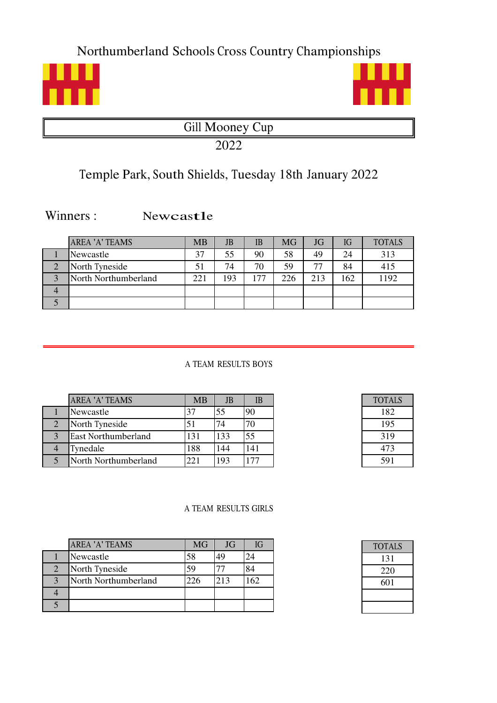Northumberland Schools Cross Country Championships





Gill Mooney Cup

2022

# Temple Park, South Shields, Tuesday 18th January 2022

Winners: Newcastle

|                | <b>AREA 'A' TEAMS</b> | MB  | JB  | IB  | <b>MG</b> | JG  | IG  | <b>TOTALS</b> |
|----------------|-----------------------|-----|-----|-----|-----------|-----|-----|---------------|
|                | Newcastle             | 37  | 55  | 90  | 58        | 49  | 24  | 313           |
| n              | North Tyneside        | 51  | 74  | 70  | 59        | 77  | 84  | 415           |
| 2              | North Northumberland  | 221 | 193 | 177 | 226       | 213 | 162 | 1192          |
| $\overline{4}$ |                       |     |     |     |           |     |     |               |
|                |                       |     |     |     |           |     |     |               |

A TEAM RESULTS BOYS

|                | <b>AREA 'A' TEAMS</b>      | <b>MB</b> | <b>JB</b> | IB  |
|----------------|----------------------------|-----------|-----------|-----|
|                | Newcastle                  | 37        | 55        | 90  |
| $\overline{2}$ | North Tyneside             | 51        | 74        |     |
| 3              | <b>East Northumberland</b> | 131       | 133       | 55  |
|                | Tynedale                   | 188       | 144       | 141 |
|                | North Northumberland       |           | 193       |     |

| TOTALS |  |
|--------|--|
| 182    |  |
| 195    |  |
| 319    |  |
| 473    |  |
| 591    |  |

#### A TEAM RESULTS GIRLS

|                | <b>AREA 'A' TEAMS</b> | <b>MG</b> | JG  | IG  |
|----------------|-----------------------|-----------|-----|-----|
|                | Newcastle             | 58        | 49  | 24  |
| $\overline{2}$ | North Tyneside        | 59        |     | 84  |
| 3              | North Northumberland  | 226       | 213 | 162 |
|                |                       |           |     |     |
|                |                       |           |     |     |

| <b>TOTALS</b> |  |
|---------------|--|
| 131           |  |
| 220           |  |
| 601           |  |
|               |  |
|               |  |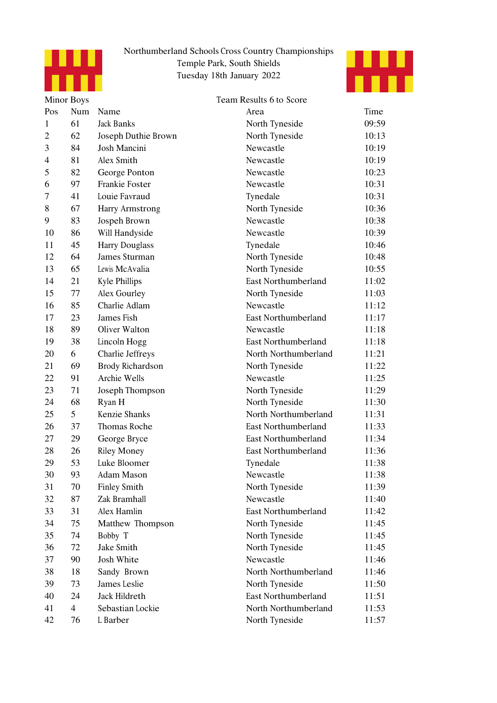



|                | <b>Minor Boys</b> |                       | Team Results 6 to Score    |       |
|----------------|-------------------|-----------------------|----------------------------|-------|
| Pos            | Num               | Name                  | Area                       | Time  |
| $\mathbf{1}$   | 61                | <b>Jack Banks</b>     | North Tyneside             | 09:59 |
| $\overline{2}$ | 62                | Joseph Duthie Brown   | North Tyneside             | 10:13 |
| 3              | 84                | Josh Mancini          | Newcastle                  | 10:19 |
| 4              | 81                | Alex Smith            | Newcastle                  | 10:19 |
| 5              | 82                | George Ponton         | Newcastle                  | 10:23 |
| 6              | 97                | Frankie Foster        | Newcastle                  | 10:31 |
| 7              | 41                | Louie Favraud         | Tynedale                   | 10:31 |
| 8              | 67                | Harry Armstrong       | North Tyneside             | 10:36 |
| 9              | 83                | Jospeh Brown          | Newcastle                  | 10:38 |
| 10             | 86                | Will Handyside        | Newcastle                  | 10:39 |
| 11             | 45                | <b>Harry Douglass</b> | Tynedale                   | 10:46 |
| 12             | 64                | James Sturman         | North Tyneside             | 10:48 |
| 13             | 65                | Lewis McAvalia        | North Tyneside             | 10:55 |
| 14             | 21                | <b>Kyle Phillips</b>  | <b>East Northumberland</b> | 11:02 |
| 15             | 77                | Alex Gourley          | North Tyneside             | 11:03 |
| 16             | 85                | Charlie Adlam         | Newcastle                  | 11:12 |
| 17             | 23                | James Fish            | <b>East Northumberland</b> | 11:17 |
| 18             | 89                | Oliver Walton         | Newcastle                  | 11:18 |
| 19             | 38                | Lincoln Hogg          | East Northumberland        | 11:18 |
| 20             | 6                 | Charlie Jeffreys      | North Northumberland       | 11:21 |
| 21             | 69                | Brody Richardson      | North Tyneside             | 11:22 |
| 22             | 91                | Archie Wells          | Newcastle                  | 11:25 |
| 23             | 71                | Joseph Thompson       | North Tyneside             | 11:29 |
| 24             | 68                | Ryan H                | North Tyneside             | 11:30 |
| 25             | 5                 | Kenzie Shanks         | North Northumberland       | 11:31 |
| 26             | 37                | Thomas Roche          | East Northumberland        | 11:33 |
| 27             | 29                | George Bryce          | <b>East Northumberland</b> | 11:34 |
| 28             | 26                | <b>Riley Money</b>    | East Northumberland        | 11:36 |
| 29             | 53                | Luke Bloomer          | Tynedale                   | 11:38 |
| 30             | 93                | Adam Mason            | Newcastle                  | 11:38 |
| 31             | 70                | <b>Finley Smith</b>   | North Tyneside             | 11:39 |
| 32             | 87                | Zak Bramhall          | Newcastle                  | 11:40 |
| 33             | 31                | Alex Hamlin           | <b>East Northumberland</b> | 11:42 |
| 34             | 75                | Matthew Thompson      | North Tyneside             | 11:45 |
| 35             | 74                | Bobby T               | North Tyneside             | 11:45 |
| 36             | 72                | Jake Smith            | North Tyneside             | 11:45 |
| 37             | 90                | Josh White            | Newcastle                  | 11:46 |
| 38             | 18                | Sandy Brown           | North Northumberland       | 11:46 |
| 39             | 73                | James Leslie          | North Tyneside             | 11:50 |
| 40             | 24                | Jack Hildreth         | <b>East Northumberland</b> | 11:51 |
| 41             | $\overline{4}$    | Sebastian Lockie      | North Northumberland       | 11:53 |
| 42             | 76                | L Barber              | North Tyneside             | 11:57 |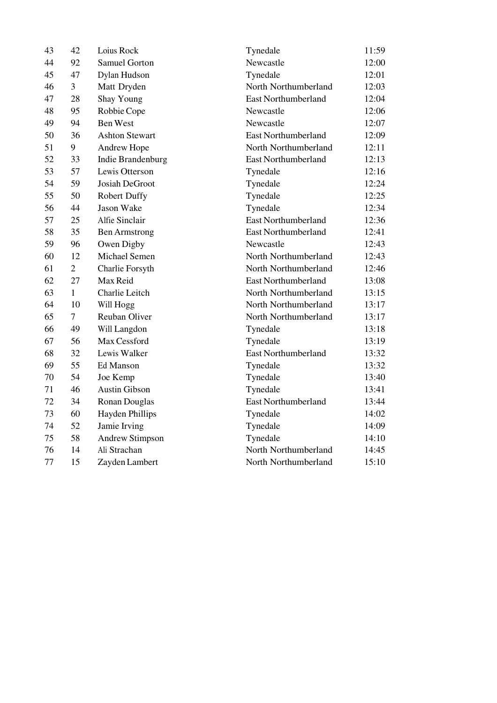| 43 | 42             | Loius Rock               | Tynedale                   | 11:59 |
|----|----------------|--------------------------|----------------------------|-------|
| 44 | 92             | <b>Samuel Gorton</b>     | Newcastle                  | 12:00 |
| 45 | 47             | Dylan Hudson             | Tynedale                   | 12:01 |
| 46 | $\overline{3}$ | Matt Dryden              | North Northumberland       | 12:03 |
| 47 | 28             | <b>Shay Young</b>        | <b>East Northumberland</b> | 12:04 |
| 48 | 95             | Robbie Cope              | Newcastle                  | 12:06 |
| 49 | 94             | <b>Ben West</b>          | Newcastle                  | 12:07 |
| 50 | 36             | <b>Ashton Stewart</b>    | <b>East Northumberland</b> | 12:09 |
| 51 | 9              | Andrew Hope              | North Northumberland       | 12:11 |
| 52 | 33             | <b>Indie Brandenburg</b> | <b>East Northumberland</b> | 12:13 |
| 53 | 57             | Lewis Otterson           | Tynedale                   | 12:16 |
| 54 | 59             | Josiah DeGroot           | Tynedale                   | 12:24 |
| 55 | 50             | <b>Robert Duffy</b>      | Tynedale                   | 12:25 |
| 56 | 44             | Jason Wake               | Tynedale                   | 12:34 |
| 57 | 25             | Alfie Sinclair           | East Northumberland        | 12:36 |
| 58 | 35             | <b>Ben Armstrong</b>     | <b>East Northumberland</b> | 12:41 |
| 59 | 96             | Owen Digby               | Newcastle                  | 12:43 |
| 60 | 12             | Michael Semen            | North Northumberland       | 12:43 |
| 61 | $\overline{2}$ | Charlie Forsyth          | North Northumberland       | 12:46 |
| 62 | 27             | Max Reid                 | <b>East Northumberland</b> | 13:08 |
| 63 | $\mathbf{1}$   | Charlie Leitch           | North Northumberland       | 13:15 |
| 64 | 10             | Will Hogg                | North Northumberland       | 13:17 |
| 65 | $\overline{7}$ | Reuban Oliver            | North Northumberland       | 13:17 |
| 66 | 49             | Will Langdon             | Tynedale                   | 13:18 |
| 67 | 56             | Max Cessford             | Tynedale                   | 13:19 |
| 68 | 32             | Lewis Walker             | <b>East Northumberland</b> | 13:32 |
| 69 | 55             | Ed Manson                | Tynedale                   | 13:32 |
| 70 | 54             | Joe Kemp                 | Tynedale                   | 13:40 |
| 71 | 46             | <b>Austin Gibson</b>     | Tynedale                   | 13:41 |
| 72 | 34             | <b>Ronan Douglas</b>     | <b>East Northumberland</b> | 13:44 |
| 73 | 60             | <b>Hayden Phillips</b>   | Tynedale                   | 14:02 |
| 74 | 52             | Jamie Irving             | Tynedale                   | 14:09 |
| 75 | 58             | <b>Andrew Stimpson</b>   | Tynedale                   | 14:10 |
| 76 | 14             | Ali Strachan             | North Northumberland       | 14:45 |
| 77 | 15             | Zayden Lambert           | North Northumberland       | 15:10 |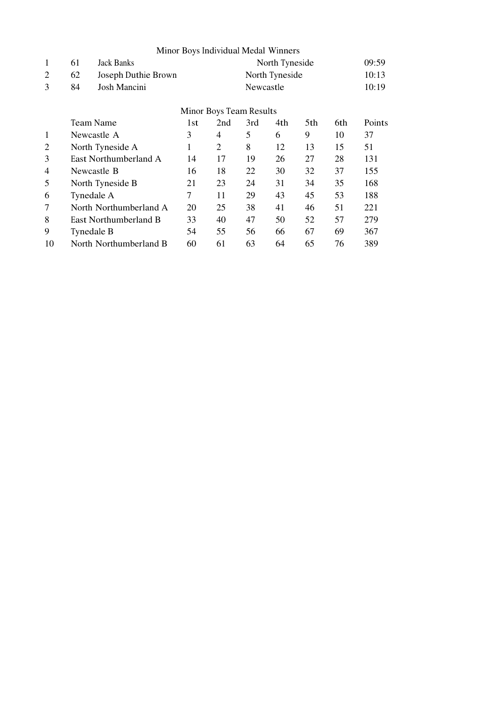|                |                         |                        |     | Minor Boys Individual Medal Winners |           |                |     |     |               |
|----------------|-------------------------|------------------------|-----|-------------------------------------|-----------|----------------|-----|-----|---------------|
| $\mathbf{1}$   | 61                      | Jack Banks             |     |                                     |           | North Tyneside |     |     | 09:59         |
| $\overline{2}$ | 62                      | Joseph Duthie Brown    |     |                                     |           | North Tyneside |     |     | 10:13         |
| 3              | 84                      | Josh Mancini           |     |                                     | Newcastle |                |     |     | 10:19         |
|                | Minor Boys Team Results |                        |     |                                     |           |                |     |     |               |
|                |                         | Team Name              | 1st | 2nd                                 | 3rd       | 4th            | 5th | 6th | <b>Points</b> |
| 1              |                         | Newcastle A            | 3   | 4                                   | 5         | 6              | 9   | 10  | 37            |
| $\overline{2}$ |                         | North Tyneside A       | 1   | $\overline{2}$                      | 8         | 12             | 13  | 15  | 51            |
| 3              |                         | East Northumberland A  | 14  | 17                                  | 19        | 26             | 27  | 28  | 131           |
| 4              |                         | Newcastle B            | 16  | 18                                  | 22        | 30             | 32  | 37  | 155           |
| 5              |                         | North Tyneside B       | 21  | 23                                  | 24        | 31             | 34  | 35  | 168           |
| 6              |                         | Tynedale A             | 7   | 11                                  | 29        | 43             | 45  | 53  | 188           |
| $\overline{7}$ |                         | North Northumberland A | 20  | 25                                  | 38        | 41             | 46  | 51  | 221           |
| 8              |                         | East Northumberland B  | 33  | 40                                  | 47        | 50             | 52  | 57  | 279           |
| 9              |                         | Tynedale B             | 54  | 55                                  | 56        | 66             | 67  | 69  | 367           |
| 10             |                         | North Northumberland B | 60  | 61                                  | 63        | 64             | 65  | 76  | 389           |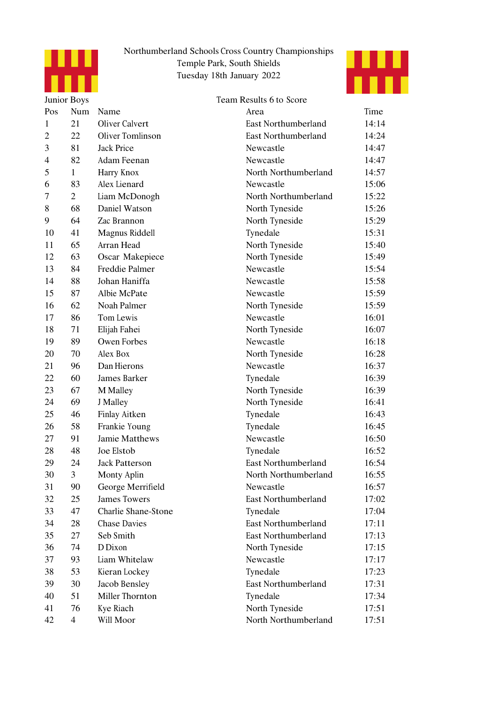



|                          | Team Results 6 to Score<br>Junior Boys |                       |                            |       |  |
|--------------------------|----------------------------------------|-----------------------|----------------------------|-------|--|
| Pos                      | Num                                    | Name                  | Area                       | Time  |  |
| 1                        | 21                                     | Oliver Calvert        | East Northumberland        | 14:14 |  |
| $\overline{2}$           | 22                                     | Oliver Tomlinson      | East Northumberland        | 14:24 |  |
| 3                        | 81                                     | <b>Jack Price</b>     | Newcastle                  | 14:47 |  |
| $\overline{\mathcal{A}}$ | 82                                     | Adam Feenan           | Newcastle                  | 14:47 |  |
| 5                        | $\mathbf{1}$                           | Harry Knox            | North Northumberland       | 14:57 |  |
| 6                        | 83                                     | Alex Lienard          | Newcastle                  | 15:06 |  |
| 7                        | $\overline{2}$                         | Liam McDonogh         | North Northumberland       | 15:22 |  |
| 8                        | 68                                     | Daniel Watson         | North Tyneside             | 15:26 |  |
| 9                        | 64                                     | Zac Brannon           | North Tyneside             | 15:29 |  |
| 10                       | 41                                     | Magnus Riddell        | Tynedale                   | 15:31 |  |
| 11                       | 65                                     | Arran Head            | North Tyneside             | 15:40 |  |
| 12                       | 63                                     | Oscar Makepiece       | North Tyneside             | 15:49 |  |
| 13                       | 84                                     | Freddie Palmer        | Newcastle                  | 15:54 |  |
| 14                       | 88                                     | Johan Haniffa         | Newcastle                  | 15:58 |  |
| 15                       | 87                                     | Albie McPate          | Newcastle                  | 15:59 |  |
| 16                       | 62                                     | Noah Palmer           | North Tyneside             | 15:59 |  |
| 17                       | 86                                     | Tom Lewis             | Newcastle                  | 16:01 |  |
| 18                       | 71                                     | Elijah Fahei          | North Tyneside             | 16:07 |  |
| 19                       | 89                                     | Owen Forbes           | Newcastle                  | 16:18 |  |
| 20                       | 70                                     | Alex Box              | North Tyneside             | 16:28 |  |
| 21                       | 96                                     | Dan Hierons           | Newcastle                  | 16:37 |  |
| 22                       | 60                                     | James Barker          | Tynedale                   | 16:39 |  |
| 23                       | 67                                     | M Malley              | North Tyneside             | 16:39 |  |
| 24                       | 69                                     | J Malley              | North Tyneside             | 16:41 |  |
| 25                       | 46                                     | Finlay Aitken         | Tynedale                   | 16:43 |  |
| 26                       | 58                                     | Frankie Young         | Tynedale                   | 16:45 |  |
| 27                       | 91                                     | Jamie Matthews        | Newcastle                  | 16:50 |  |
| 28                       | 48                                     | Joe Elstob            | Tynedale                   | 16:52 |  |
| 29                       | 24                                     | <b>Jack Patterson</b> | <b>East Northumberland</b> | 16:54 |  |
| 30                       | 3                                      | Monty Aplin           | North Northumberland       | 16:55 |  |
| 31                       | 90                                     | George Merrifield     | Newcastle                  | 16:57 |  |
| 32                       | 25                                     | <b>James Towers</b>   | East Northumberland        | 17:02 |  |
| 33                       | 47                                     | Charlie Shane-Stone   | Tynedale                   | 17:04 |  |
| 34                       | 28                                     | <b>Chase Davies</b>   | <b>East Northumberland</b> | 17:11 |  |
| 35                       | 27                                     | Seb Smith             | <b>East Northumberland</b> | 17:13 |  |
| 36                       | 74                                     | D Dixon               | North Tyneside             | 17:15 |  |
| 37                       | 93                                     | Liam Whitelaw         | Newcastle                  | 17:17 |  |
| 38                       | 53                                     | Kieran Lockey         | Tynedale                   | 17:23 |  |
| 39                       | 30                                     | Jacob Bensley         | <b>East Northumberland</b> | 17:31 |  |
| 40                       | 51                                     | Miller Thornton       | Tynedale                   | 17:34 |  |
| 41                       | 76                                     | Kye Riach             | North Tyneside             | 17:51 |  |
| 42                       | $\overline{4}$                         | Will Moor             | North Northumberland       | 17:51 |  |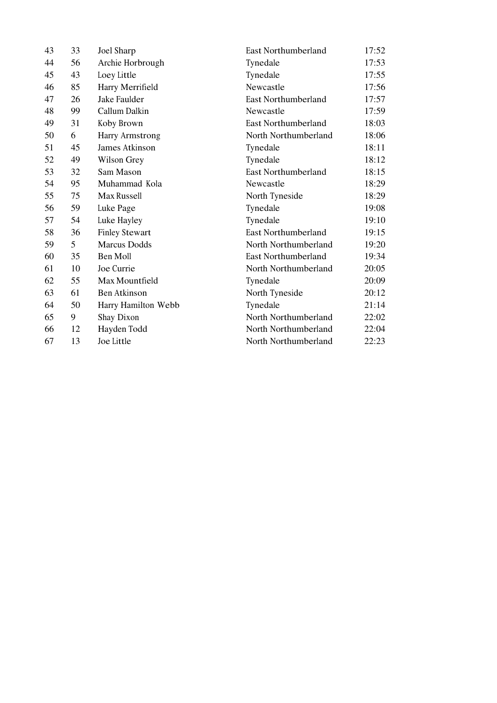| 43 | 33 | Joel Sharp            | East Northumberland        | 17:52 |
|----|----|-----------------------|----------------------------|-------|
| 44 | 56 | Archie Horbrough      | Tynedale                   | 17:53 |
| 45 | 43 | Loey Little           | Tynedale                   | 17:55 |
| 46 | 85 | Harry Merrifield      | Newcastle                  | 17:56 |
| 47 | 26 | Jake Faulder          | <b>East Northumberland</b> | 17:57 |
| 48 | 99 | Callum Dalkin         | Newcastle                  | 17:59 |
| 49 | 31 | Koby Brown            | <b>East Northumberland</b> | 18:03 |
| 50 | 6  | Harry Armstrong       | North Northumberland       | 18:06 |
| 51 | 45 | James Atkinson        | Tynedale                   | 18:11 |
| 52 | 49 | Wilson Grey           | Tynedale                   | 18:12 |
| 53 | 32 | Sam Mason             | <b>East Northumberland</b> | 18:15 |
| 54 | 95 | Muhammad Kola         | Newcastle                  | 18:29 |
| 55 | 75 | Max Russell           | North Tyneside             | 18:29 |
| 56 | 59 | Luke Page             | Tynedale                   | 19:08 |
| 57 | 54 | Luke Hayley           | Tynedale                   | 19:10 |
| 58 | 36 | <b>Finley Stewart</b> | <b>East Northumberland</b> | 19:15 |
| 59 | 5  | <b>Marcus Dodds</b>   | North Northumberland       | 19:20 |
| 60 | 35 | Ben Moll              | <b>East Northumberland</b> | 19:34 |
| 61 | 10 | Joe Currie            | North Northumberland       | 20:05 |
| 62 | 55 | Max Mountfield        | Tynedale                   | 20:09 |
| 63 | 61 | Ben Atkinson          | North Tyneside             | 20:12 |
| 64 | 50 | Harry Hamilton Webb   | Tynedale                   | 21:14 |
| 65 | 9  | Shay Dixon            | North Northumberland       | 22:02 |
| 66 | 12 | Hayden Todd           | North Northumberland       | 22:04 |
| 67 | 13 | Joe Little            | North Northumberland       | 22:23 |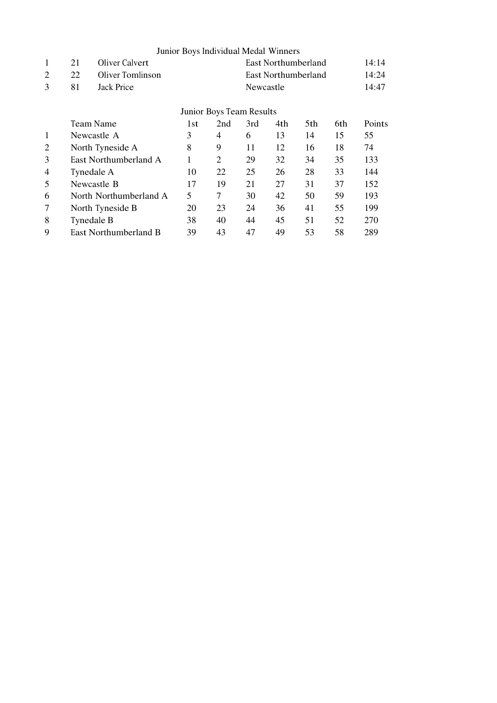|                |    |                        | Junior Boys Individual Medal Winners |                          |           |     |                     |     |               |
|----------------|----|------------------------|--------------------------------------|--------------------------|-----------|-----|---------------------|-----|---------------|
| 1              | 21 | Oliver Calvert         |                                      |                          |           |     | East Northumberland |     | 14:14         |
| 2              | 22 | Oliver Tomlinson       |                                      |                          |           |     | East Northumberland |     | 14:24         |
| 3              | 81 | Jack Price             |                                      |                          | Newcastle |     |                     |     | 14:47         |
|                |    |                        |                                      | Junior Boys Team Results |           |     |                     |     |               |
|                |    | Team Name              |                                      | 2nd                      | 3rd       | 4th | 5th                 | 6th | <b>Points</b> |
| $\mathbf{1}$   |    | Newcastle A            | 3                                    | $\overline{4}$           | 6         | 13  | 14                  | 15  | 55            |
| 2              |    | North Tyneside A       | 8                                    | 9                        | 11        | 12  | 16                  | 18  | 74            |
| 3              |    | East Northumberland A  | 1                                    | 2                        | 29        | 32  | 34                  | 35  | 133           |
| $\overline{4}$ |    | Tynedale A             | 10                                   | 22                       | 25        | 26  | 28                  | 33  | 144           |
| 5              |    | Newcastle B            | 17                                   | 19                       | 21        | 27  | 31                  | 37  | 152           |
| 6              |    | North Northumberland A | 5                                    | 7                        | 30        | 42  | 50                  | 59  | 193           |
| 7              |    | North Tyneside B       | 20                                   | 23                       | 24        | 36  | 41                  | 55  | 199           |
| 8              |    | Tynedale B             | 38                                   | 40                       | 44        | 45  | 51                  | 52  | 270           |
| 9              |    | East Northumberland B  | 39                                   | 43                       | 47        | 49  | 53                  | 58  | 289           |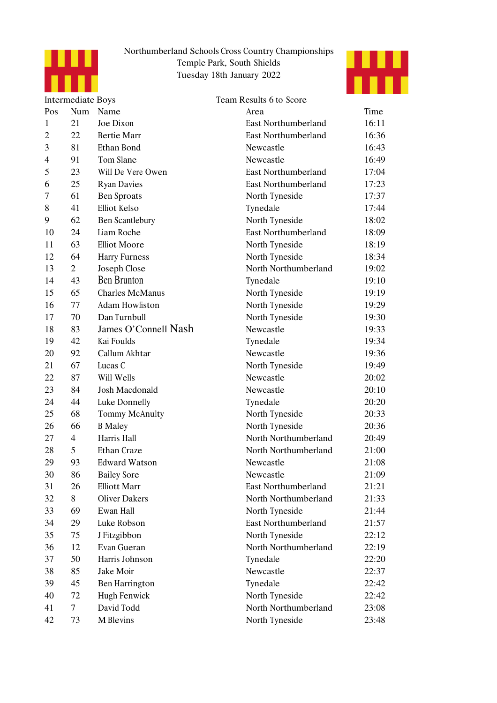



|                | <b>Intermediate Boys</b> |                        | Team Results 6 to Score    |       |
|----------------|--------------------------|------------------------|----------------------------|-------|
| Pos            | Num                      | Name                   | Area                       | Time  |
| 1              | 21                       | Joe Dixon              | East Northumberland        | 16:11 |
| $\overline{c}$ | 22                       | <b>Bertie Marr</b>     | <b>East Northumberland</b> | 16:36 |
| 3              | 81                       | Ethan Bond             | Newcastle                  | 16:43 |
| $\overline{4}$ | 91                       | Tom Slane              | Newcastle                  | 16:49 |
| 5              | 23                       | Will De Vere Owen      | <b>East Northumberland</b> | 17:04 |
| 6              | 25                       | <b>Ryan Davies</b>     | <b>East Northumberland</b> | 17:23 |
| 7              | 61                       | <b>Ben Sproats</b>     | North Tyneside             | 17:37 |
| 8              | 41                       | Elliot Kelso           | Tynedale                   | 17:44 |
| 9              | 62                       | Ben Scantlebury        | North Tyneside             | 18:02 |
| 10             | 24                       | Liam Roche             | <b>East Northumberland</b> | 18:09 |
| 11             | 63                       | <b>Elliot Moore</b>    | North Tyneside             | 18:19 |
| 12             | 64                       | <b>Harry Furness</b>   | North Tyneside             | 18:34 |
| 13             | $\overline{2}$           | Joseph Close           | North Northumberland       | 19:02 |
| 14             | 43                       | <b>Ben Brunton</b>     | Tynedale                   | 19:10 |
| 15             | 65                       | <b>Charles McManus</b> | North Tyneside             | 19:19 |
| 16             | 77                       | <b>Adam Howliston</b>  | North Tyneside             | 19:29 |
| 17             | 70                       | Dan Turnbull           | North Tyneside             | 19:30 |
| 18             | 83                       | James O'Connell Nash   | Newcastle                  | 19:33 |
| 19             | 42                       | Kai Foulds             | Tynedale                   | 19:34 |
| 20             | 92                       | Callum Akhtar          | Newcastle                  | 19:36 |
| 21             | 67                       | Lucas C                | North Tyneside             | 19:49 |
| 22             | 87                       | Will Wells             | Newcastle                  | 20:02 |
| 23             | 84                       | Josh Macdonald         | Newcastle                  | 20:10 |
| 24             | 44                       | Luke Donnelly          | Tynedale                   | 20:20 |
| 25             | 68                       | Tommy McAnulty         | North Tyneside             | 20:33 |
| 26             | 66                       | <b>B</b> Maley         | North Tyneside             | 20:36 |
| 27             | $\overline{4}$           | Harris Hall            | North Northumberland       | 20:49 |
| 28             | 5                        | Ethan Craze            | North Northumberland       | 21:00 |
| 29             | 93                       | <b>Edward Watson</b>   | Newcastle                  | 21:08 |
| 30             | 86                       | <b>Bailey Sore</b>     | Newcastle                  | 21:09 |
| 31             | 26                       | <b>Elliott Marr</b>    | East Northumberland        | 21:21 |
| 32             | 8                        | <b>Oliver Dakers</b>   | North Northumberland       | 21:33 |
| 33             | 69                       | Ewan Hall              | North Tyneside             | 21:44 |
| 34             | 29                       | Luke Robson            | <b>East Northumberland</b> | 21:57 |
| 35             | 75                       | J Fitzgibbon           | North Tyneside             | 22:12 |
| 36             | 12                       | Evan Gueran            | North Northumberland       | 22:19 |
| 37             | 50                       | Harris Johnson         | Tynedale                   | 22:20 |
| 38             | 85                       | Jake Moir              | Newcastle                  | 22:37 |
| 39             | 45                       | Ben Harrington         | Tynedale                   | 22:42 |
| 40             | 72                       | <b>Hugh Fenwick</b>    | North Tyneside             | 22:42 |
| 41             | $\overline{7}$           | David Todd             | North Northumberland       | 23:08 |
| 42             | 73                       | M Blevins              | North Tyneside             | 23:48 |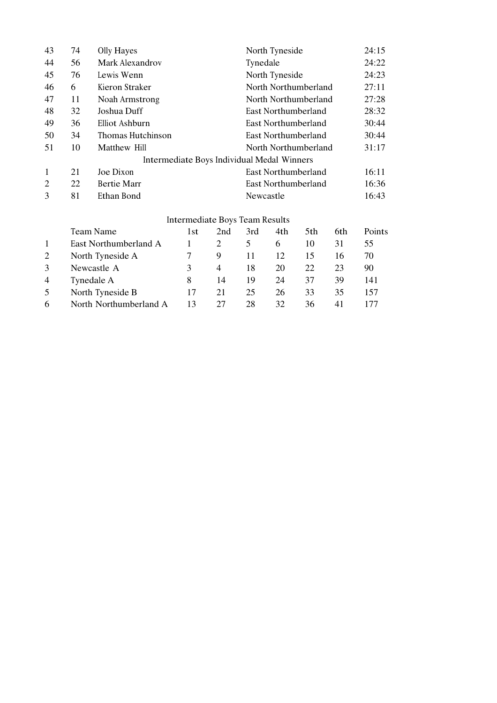| 43             | 74                                             | Olly Hayes         |                                            |                         |           | North Tyneside       |                      |     |        |  |
|----------------|------------------------------------------------|--------------------|--------------------------------------------|-------------------------|-----------|----------------------|----------------------|-----|--------|--|
| 44             | 56                                             | Mark Alexandrov    |                                            |                         | Tynedale  |                      |                      |     | 24:22  |  |
| 45             | 76                                             | Lewis Wenn         |                                            |                         |           | North Tyneside       |                      |     | 24:23  |  |
| 46             | 6                                              | Kieron Straker     |                                            |                         |           |                      | North Northumberland |     | 27:11  |  |
| 47             | 11                                             | Noah Armstrong     |                                            |                         |           | North Northumberland |                      |     |        |  |
| 48             | 32                                             | Joshua Duff        |                                            |                         |           |                      | East Northumberland  |     | 28:32  |  |
| 49             | 36                                             | Elliot Ashburn     |                                            |                         |           |                      | East Northumberland  |     | 30:44  |  |
| 50             | 34                                             | Thomas Hutchinson  |                                            |                         |           |                      | East Northumberland  |     | 30:44  |  |
| 51             | 10                                             | Matthew Hill       |                                            |                         |           |                      | North Northumberland |     | 31:17  |  |
|                |                                                |                    | Intermediate Boys Individual Medal Winners |                         |           |                      |                      |     |        |  |
| 1              | 21                                             | Joe Dixon          |                                            |                         |           |                      | East Northumberland  |     | 16:11  |  |
| $\overline{2}$ | 22                                             | <b>Bertie Marr</b> |                                            |                         |           |                      | East Northumberland  |     | 16:36  |  |
| 3              | 81                                             | Ethan Bond         |                                            |                         | Newcastle |                      |                      |     | 16:43  |  |
|                |                                                |                    | Intermediate Boys Team Results             |                         |           |                      |                      |     |        |  |
|                |                                                | Team Name          | 1st                                        | 2nd                     | 3rd       | 4th                  | 5th                  | 6th | Points |  |
| $\mathbf{1}$   | $\Gamma_{\text{net}}$ Northumborland $\Lambda$ |                    |                                            | $\mathbf 1$<br>$\gamma$ | $\sim$    | $\epsilon$           | $10^{-7}$            | 21  | 55     |  |

|                | East Northumberland A  |               |    |    |    |    |     | 55. |
|----------------|------------------------|---------------|----|----|----|----|-----|-----|
|                | North Tyneside A       |               | 9  |    |    |    |     | 70  |
|                | Newcastle A            | $\mathcal{R}$ | 4  | 18 | 20 | 22 |     | 90  |
| $\overline{4}$ | Tynedale A             |               | 14 | 19 | 24 | 37 | 39  | 141 |
| 5              | North Tyneside B       | 17            |    | 25 | 26 | 33 | 35  | 157 |
| 6              | North Northumberland A | 13            | 27 | 28 | 32 | 36 | 4 I |     |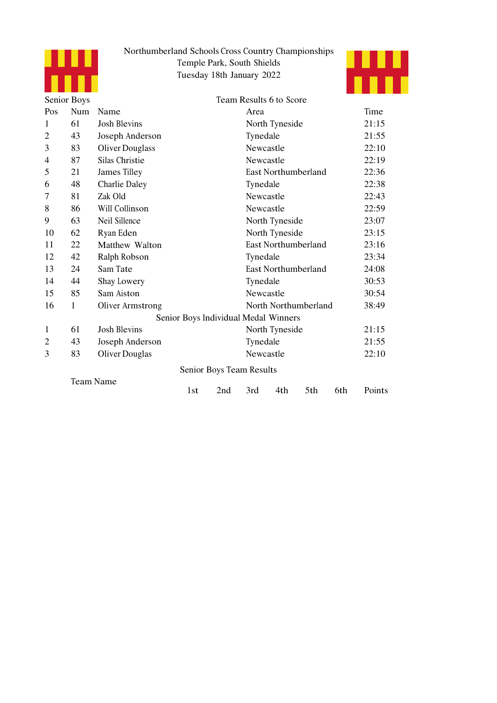



| Senior Boys    |                  |                        |                | Team Results 6 to Score              |                            |                            |       |     |        |
|----------------|------------------|------------------------|----------------|--------------------------------------|----------------------------|----------------------------|-------|-----|--------|
| Pos            | Num              | Name                   |                |                                      | Area                       |                            |       |     | Time   |
| $\mathbf{1}$   | 61               | <b>Josh Blevins</b>    |                |                                      |                            | North Tyneside             |       |     | 21:15  |
| $\overline{2}$ | 43               | Joseph Anderson        |                |                                      | Tynedale                   |                            |       |     | 21:55  |
| 3              | 83               | <b>Oliver Douglass</b> |                |                                      | Newcastle                  |                            |       |     | 22:10  |
| $\overline{4}$ | 87               | <b>Silas Christie</b>  |                |                                      | Newcastle                  |                            |       |     | 22:19  |
| 5              | 21               | James Tilley           |                |                                      | East Northumberland        | 22:36                      |       |     |        |
| 6              | 48               | <b>Charlie Daley</b>   |                |                                      | Tynedale                   | 22:38                      |       |     |        |
| 7              | 81               | Zak Old                |                |                                      | Newcastle                  |                            |       |     | 22:43  |
| 8              | 86               | Will Collinson         |                |                                      | Newcastle                  |                            |       |     | 22:59  |
| 9              | 63               | Neil Sillence          | North Tyneside | 23:07                                |                            |                            |       |     |        |
| 10             | 62               | Ryan Eden              |                | North Tyneside                       |                            |                            | 23:15 |     |        |
| 11             | 22               | Matthew Walton         |                |                                      |                            | <b>East Northumberland</b> |       |     | 23:16  |
| 12             | 42               | Ralph Robson           |                |                                      | Tynedale                   |                            |       |     | 23:34  |
| 13             | 24               | Sam Tate               |                |                                      | <b>East Northumberland</b> |                            |       |     | 24:08  |
| 14             | 44               | Shay Lowery            |                |                                      | Tynedale                   |                            |       |     | 30:53  |
| 15             | 85               | Sam Aiston             |                |                                      | Newcastle                  |                            |       |     | 30:54  |
| 16             | 1                | Oliver Armstrong       |                |                                      |                            | North Northumberland       |       |     | 38:49  |
|                |                  |                        |                | Senior Boys Individual Medal Winners |                            |                            |       |     |        |
| 1              | 61               | <b>Josh Blevins</b>    |                |                                      |                            | North Tyneside             |       |     | 21:15  |
| $\overline{2}$ | 43               | Joseph Anderson        |                |                                      | Tynedale                   |                            |       |     | 21:55  |
| 3              | 83               | Oliver Douglas         |                |                                      | Newcastle                  |                            |       |     | 22:10  |
|                |                  |                        |                | Senior Boys Team Results             |                            |                            |       |     |        |
|                | <b>Team Name</b> |                        | 1st            | 2nd                                  | 3rd                        | 4th                        | 5th   | 6th | Points |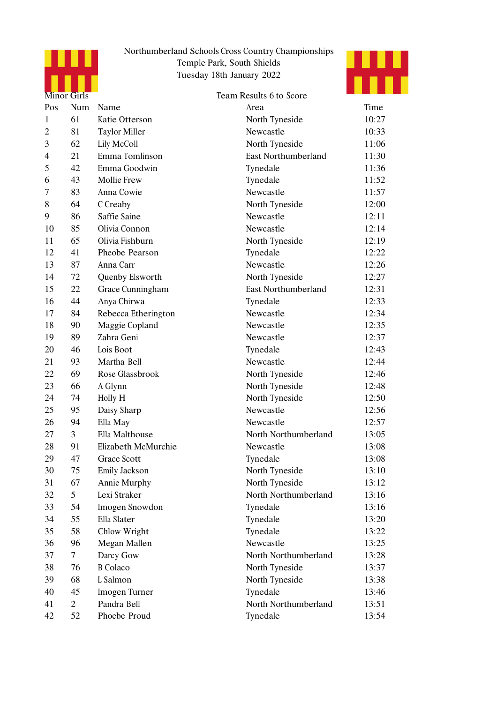

## Northumberland Schools Cross Country Championships Temple Park, South Shields Tuesday 18th January 2022 Northumberland Schools Cross Country Char<br>
Temple Park, South Shields<br>
Tuesday 18th January 2022



|     | Minor Girls    |                      | Team Results 6 to Score    |       |
|-----|----------------|----------------------|----------------------------|-------|
| Pos | Num            | Name                 | Area                       | Time  |
| 1   | 61             | Katie Otterson       | North Tyneside             | 10:27 |
| 2   | 81             | <b>Taylor Miller</b> | Newcastle                  | 10:33 |
| 3   | 62             | Lily McColl          | North Tyneside             | 11:06 |
| 4   | 21             | Emma Tomlinson       | <b>East Northumberland</b> | 11:30 |
| 5   | 42             | Emma Goodwin         | Tynedale                   | 11:36 |
| 6   | 43             | Mollie Frew          | Tynedale                   | 11:52 |
| 7   | 83             | Anna Cowie           | Newcastle                  | 11:57 |
| 8   | 64             | C Creaby             | North Tyneside             | 12:00 |
| 9   | 86             | Saffie Saine         | Newcastle                  | 12:11 |
| 10  | 85             | Olivia Connon        | Newcastle                  | 12:14 |
| 11  | 65             | Olivia Fishburn      | North Tyneside             | 12:19 |
| 12  | 41             | Pheobe Pearson       | Tynedale                   | 12:22 |
| 13  | 87             | Anna Carr            | Newcastle                  | 12:26 |
| 14  | 72             | Quenby Elsworth      | North Tyneside             | 12:27 |
| 15  | 22             | Grace Cunningham     | <b>East Northumberland</b> | 12:31 |
| 16  | 44             | Anya Chirwa          | Tynedale                   | 12:33 |
| 17  | 84             | Rebecca Etherington  | Newcastle                  | 12:34 |
| 18  | 90             | Maggie Copland       | Newcastle                  | 12:35 |
| 19  | 89             | Zahra Geni           | Newcastle                  | 12:37 |
| 20  | 46             | Lois Boot            | Tynedale                   | 12:43 |
| 21  | 93             | Martha Bell          | Newcastle                  | 12:44 |
| 22  | 69             | Rose Glassbrook      | North Tyneside             | 12:46 |
| 23  | 66             | A Glynn              | North Tyneside             | 12:48 |
| 24  | 74             | Holly H              | North Tyneside             | 12:50 |
| 25  | 95             | Daisy Sharp          | Newcastle                  | 12:56 |
| 26  | 94             | Ella May             | Newcastle                  | 12:57 |
| 27  | $\overline{3}$ | Ella Malthouse       | North Northumberland       | 13:05 |
| 28  | 91             | Elizabeth McMurchie  | Newcastle                  | 13:08 |
| 29  | 47             | Grace Scott          | Tynedale                   | 13:08 |
| 30  | 75             | Emily Jackson        | North Tyneside             | 13:10 |
| 31  | 67             | Annie Murphy         | North Tyneside             | 13:12 |
| 32  | 5              | Lexi Straker         | North Northumberland       | 13:16 |
| 33  | 54             | Imogen Snowdon       | Tynedale                   | 13:16 |
| 34  | 55             | Ella Slater          | Tynedale                   | 13:20 |
| 35  | 58             | Chlow Wright         | Tynedale                   | 13:22 |
| 36  | 96             | Megan Mallen         | Newcastle                  | 13:25 |
| 37  | $\tau$         | Darcy Gow            | North Northumberland       | 13:28 |
| 38  | 76             | <b>B</b> Colaco      | North Tyneside             | 13:37 |
| 39  | 68             | L Salmon             | North Tyneside             | 13:38 |
| 40  | 45             | Imogen Turner        | Tynedale                   | 13:46 |
| 41  | $\overline{2}$ | Pandra Bell          | North Northumberland       | 13:51 |
| 42  | 52             | Phoebe Proud         | Tynedale                   | 13:54 |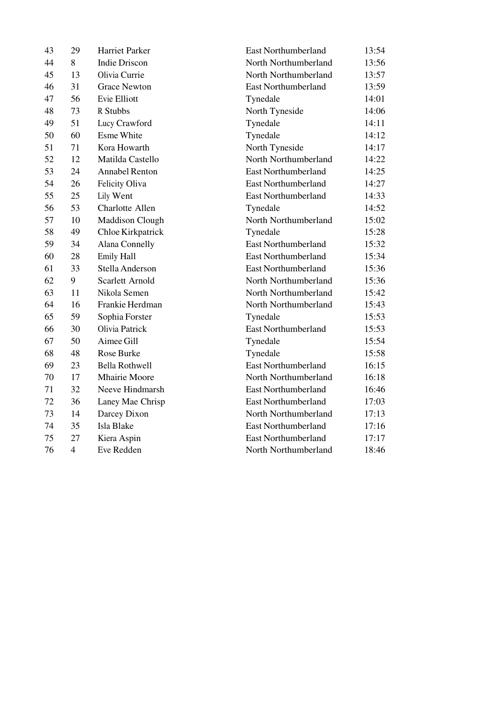| 43 | 29             | Harriet Parker         | <b>East Northumberland</b> | 13:54 |
|----|----------------|------------------------|----------------------------|-------|
| 44 | 8              | <b>Indie Driscon</b>   | North Northumberland       | 13:56 |
| 45 | 13             | Olivia Currie          | North Northumberland       | 13:57 |
| 46 | 31             | <b>Grace Newton</b>    | <b>East Northumberland</b> | 13:59 |
| 47 | 56             | Evie Elliott           | Tynedale                   | 14:01 |
| 48 | 73             | R Stubbs               | North Tyneside             | 14:06 |
| 49 | 51             | Lucy Crawford          | Tynedale                   | 14:11 |
| 50 | 60             | <b>Esme White</b>      | Tynedale                   | 14:12 |
| 51 | 71             | Kora Howarth           | North Tyneside             | 14:17 |
| 52 | 12             | Matilda Castello       | North Northumberland       | 14:22 |
| 53 | 24             | <b>Annabel Renton</b>  | East Northumberland        | 14:25 |
| 54 | 26             | Felicity Oliva         | <b>East Northumberland</b> | 14:27 |
| 55 | 25             | Lily Went              | East Northumberland        | 14:33 |
| 56 | 53             | Charlotte Allen        | Tynedale                   | 14:52 |
| 57 | 10             | Maddison Clough        | North Northumberland       | 15:02 |
| 58 | 49             | Chloe Kirkpatrick      | Tynedale                   | 15:28 |
| 59 | 34             | Alana Connelly         | East Northumberland        | 15:32 |
| 60 | 28             | Emily Hall             | <b>East Northumberland</b> | 15:34 |
| 61 | 33             | Stella Anderson        | <b>East Northumberland</b> | 15:36 |
| 62 | 9              | <b>Scarlett Arnold</b> | North Northumberland       | 15:36 |
| 63 | 11             | Nikola Semen           | North Northumberland       | 15:42 |
| 64 | 16             | Frankie Herdman        | North Northumberland       | 15:43 |
| 65 | 59             | Sophia Forster         | Tynedale                   | 15:53 |
| 66 | 30             | Olivia Patrick         | <b>East Northumberland</b> | 15:53 |
| 67 | 50             | Aimee Gill             | Tynedale                   | 15:54 |
| 68 | 48             | <b>Rose Burke</b>      | Tynedale                   | 15:58 |
| 69 | 23             | <b>Bella Rothwell</b>  | <b>East Northumberland</b> | 16:15 |
| 70 | 17             | <b>Mhairie Moore</b>   | North Northumberland       | 16:18 |
| 71 | 32             | Neeve Hindmarsh        | <b>East Northumberland</b> | 16:46 |
| 72 | 36             | Laney Mae Chrisp       | <b>East Northumberland</b> | 17:03 |
| 73 | 14             | Darcey Dixon           | North Northumberland       | 17:13 |
| 74 | 35             | Isla Blake             | <b>East Northumberland</b> | 17:16 |
| 75 | 27             | Kiera Aspin            | <b>East Northumberland</b> | 17:17 |
| 76 | $\overline{4}$ | Eve Redden             | North Northumberland       | 18:46 |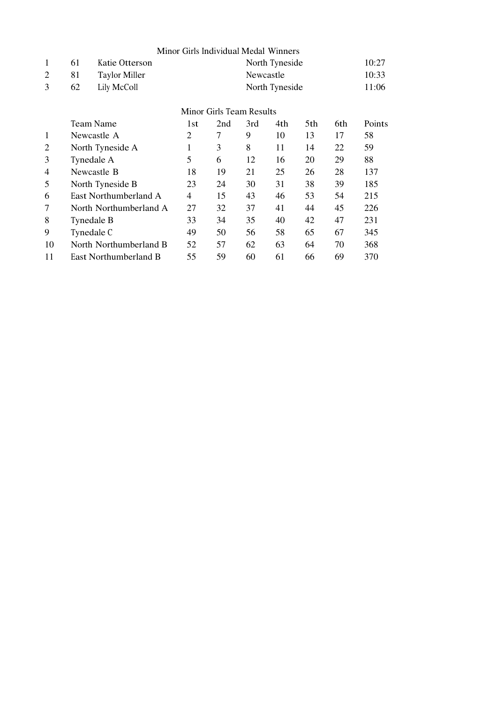|                |    |                          | Minor Girls Individual Medal Winners |     |           |                |     |     |        |  |  |
|----------------|----|--------------------------|--------------------------------------|-----|-----------|----------------|-----|-----|--------|--|--|
| $\mathbf{1}$   | 61 | Katie Otterson           |                                      |     |           | North Tyneside |     |     | 10:27  |  |  |
| 2              | 81 | <b>Taylor Miller</b>     |                                      |     | Newcastle |                |     |     | 10:33  |  |  |
| 3              | 62 | Lily McColl              | North Tyneside                       |     |           |                |     |     |        |  |  |
|                |    | Minor Girls Team Results |                                      |     |           |                |     |     |        |  |  |
|                |    | Team Name                | 1st                                  | 2nd | 3rd       | 4th.           | 5th | 6th | Points |  |  |
| 1              |    | Newcastle A              | $\overline{2}$                       | 7   | 9         | 10             | 13  | 17  | 58     |  |  |
| $\overline{2}$ |    | North Tyneside A         |                                      | 3   | 8         | 11             | 14  | 22  | 59     |  |  |
| 3              |    | Tynedale A               |                                      | 6   | 12        | 16             | 20  | 29  | 88     |  |  |
| 4              |    | Newcastle B              | 18                                   | 19  | 21        | 25             | 26  | 28  | 137    |  |  |
| 5              |    | North Tyneside B         | 23                                   | 24  | 30        | 31             | 38  | 39  | 185    |  |  |
| 6              |    | East Northumberland A    | 4                                    | 15  | 43        | 46             | 53  | 54  | 215    |  |  |
| 7              |    | North Northumberland A   | 27                                   | 32  | 37        | 41             | 44  | 45  | 226    |  |  |
| 8              |    | Tynedale B               | 33                                   | 34  | 35        | 40             | 42  | 47  | 231    |  |  |
| 9              |    | Tynedale C               | 49                                   | 50  | 56        | 58             | 65  | 67  | 345    |  |  |
| 10             |    | North Northumberland B   | 52                                   | 57  | 62        | 63             | 64  | 70  | 368    |  |  |
| 11             |    | East Northumberland B    | 55                                   | 59  | 60        | 61             | 66  | 69  | 370    |  |  |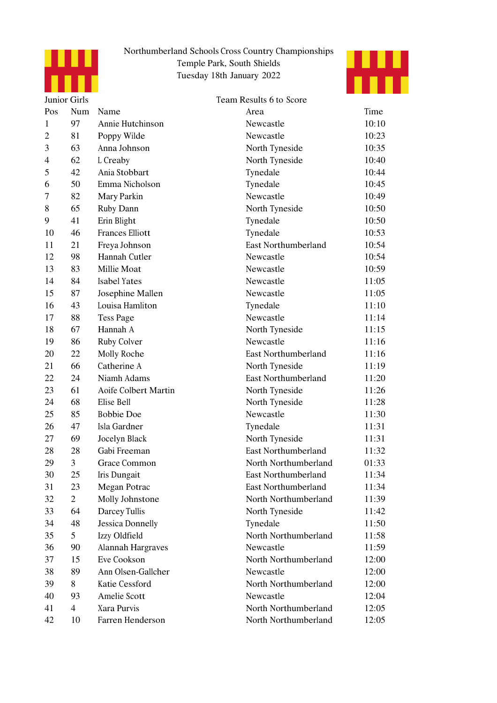



|                | Junior Girls   |                          | Team Results 6 to Score    |       |
|----------------|----------------|--------------------------|----------------------------|-------|
| Pos            | Num            | Name                     | Area                       | Time  |
| $\mathbf{1}$   | 97             | Annie Hutchinson         | Newcastle                  | 10:10 |
| 2              | 81             | Poppy Wilde              | Newcastle                  | 10:23 |
| 3              | 63             | Anna Johnson             | North Tyneside             | 10:35 |
| $\overline{4}$ | 62             | L Creaby                 | North Tyneside             | 10:40 |
| 5              | 42             | Ania Stobbart            | Tynedale                   | 10:44 |
| 6              | 50             | Emma Nicholson           | Tynedale                   | 10:45 |
| 7              | 82             | Mary Parkin              | Newcastle                  | 10:49 |
| 8              | 65             | Ruby Dann                | North Tyneside             | 10:50 |
| 9              | 41             | Erin Blight              | Tynedale                   | 10:50 |
| 10             | 46             | <b>Frances Elliott</b>   | Tynedale                   | 10:53 |
| 11             | 21             | Freya Johnson            | <b>East Northumberland</b> | 10:54 |
| 12             | 98             | Hannah Cutler            | Newcastle                  | 10:54 |
| 13             | 83             | Millie Moat              | Newcastle                  | 10:59 |
| 14             | 84             | Isabel Yates             | Newcastle                  | 11:05 |
| 15             | 87             | Josephine Mallen         | Newcastle                  | 11:05 |
| 16             | 43             | Louisa Hamliton          | Tynedale                   | 11:10 |
| 17             | 88             | <b>Tess Page</b>         | Newcastle                  | 11:14 |
| 18             | 67             | Hannah A                 | North Tyneside             | 11:15 |
| 19             | 86             | Ruby Colver              | Newcastle                  | 11:16 |
| 20             | 22             | Molly Roche              | <b>East Northumberland</b> | 11:16 |
| 21             | 66             | Catherine A              | North Tyneside             | 11:19 |
| 22             | 24             | Niamh Adams              | East Northumberland        | 11:20 |
| 23             | 61             | Aoife Colbert Martin     | North Tyneside             | 11:26 |
| 24             | 68             | Elise Bell               | North Tyneside             | 11:28 |
| 25             | 85             | <b>Bobbie Doe</b>        | Newcastle                  | 11:30 |
| 26             | 47             | Isla Gardner             | Tynedale                   | 11:31 |
| 27             | 69             | Jocelyn Black            | North Tyneside             | 11:31 |
| 28             | 28             | Gabi Freeman             | <b>East Northumberland</b> | 11:32 |
| 29             | 3              | Grace Common             | North Northumberland       | 01:33 |
| 30             | 25             | Iris Dungait             | East Northumberland        | 11:34 |
| 31             | 23             | Megan Potrac             | <b>East Northumberland</b> | 11:34 |
| 32             | $\overline{2}$ | Molly Johnstone          | North Northumberland       | 11:39 |
| 33             | 64             | Darcey Tullis            | North Tyneside             | 11:42 |
| 34             | 48             | <b>Jessica Donnelly</b>  | Tynedale                   | 11:50 |
| 35             | 5              | Izzy Oldfield            | North Northumberland       | 11:58 |
| 36             | 90             | <b>Alannah Hargraves</b> | Newcastle                  | 11:59 |
| 37             | 15             | Eve Cookson              | North Northumberland       | 12:00 |
| 38             | 89             | Ann Olsen-Gallcher       | Newcastle                  | 12:00 |
| 39             | 8              | Katie Cessford           | North Northumberland       | 12:00 |
| 40             | 93             | Amelie Scott             | Newcastle                  | 12:04 |
| 41             | $\overline{4}$ | Xara Purvis              | North Northumberland       | 12:05 |
| 42             | 10             | Farren Henderson         | North Northumberland       | 12:05 |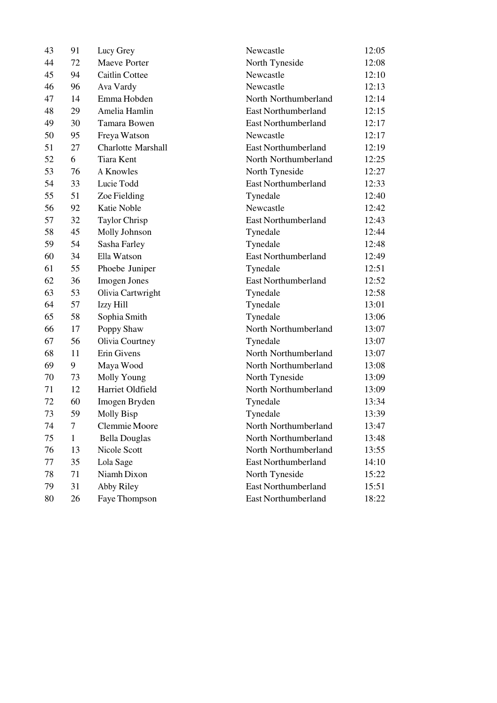| 43 | 91           | Lucy Grey                 | Newcastle                  | 12:05 |
|----|--------------|---------------------------|----------------------------|-------|
| 44 | 72           | Maeve Porter              | North Tyneside             | 12:08 |
| 45 | 94           | Caitlin Cottee            | Newcastle                  | 12:10 |
| 46 | 96           | Ava Vardy                 | Newcastle                  | 12:13 |
| 47 | 14           | Emma Hobden               | North Northumberland       | 12:14 |
| 48 | 29           | Amelia Hamlin             | <b>East Northumberland</b> | 12:15 |
| 49 | 30           | Tamara Bowen              | <b>East Northumberland</b> | 12:17 |
| 50 | 95           | Freya Watson              | Newcastle                  | 12:17 |
| 51 | 27           | <b>Charlotte Marshall</b> | <b>East Northumberland</b> | 12:19 |
| 52 | 6            | <b>Tiara Kent</b>         | North Northumberland       | 12:25 |
| 53 | 76           | A Knowles                 | North Tyneside             | 12:27 |
| 54 | 33           | Lucie Todd                | <b>East Northumberland</b> | 12:33 |
| 55 | 51           | Zoe Fielding              | Tynedale                   | 12:40 |
| 56 | 92           | <b>Katie Noble</b>        | Newcastle                  | 12:42 |
| 57 | 32           | Taylor Chrisp             | East Northumberland        | 12:43 |
| 58 | 45           | Molly Johnson             | Tynedale                   | 12:44 |
| 59 | 54           | Sasha Farley              | Tynedale                   | 12:48 |
| 60 | 34           | Ella Watson               | <b>East Northumberland</b> | 12:49 |
| 61 | 55           | Phoebe Juniper            | Tynedale                   | 12:51 |
| 62 | 36           | Imogen Jones              | <b>East Northumberland</b> | 12:52 |
| 63 | 53           | Olivia Cartwright         | Tynedale                   | 12:58 |
| 64 | 57           | Izzy Hill                 | Tynedale                   | 13:01 |
| 65 | 58           | Sophia Smith              | Tynedale                   | 13:06 |
| 66 | 17           | Poppy Shaw                | North Northumberland       | 13:07 |
| 67 | 56           | Olivia Courtney           | Tynedale                   | 13:07 |
| 68 | 11           | Erin Givens               | North Northumberland       | 13:07 |
| 69 | 9            | Maya Wood                 | North Northumberland       | 13:08 |
| 70 | 73           | Molly Young               | North Tyneside             | 13:09 |
| 71 | 12           | Harriet Oldfield          | North Northumberland       | 13:09 |
| 72 | 60           | Imogen Bryden             | Tynedale                   | 13:34 |
| 73 | 59           | Molly Bisp                | Tynedale                   | 13:39 |
| 74 | 7            | Clemmie Moore             | North Northumberland       | 13:47 |
| 75 | $\mathbf{1}$ | <b>Bella Douglas</b>      | North Northumberland       | 13:48 |
| 76 | 13           | Nicole Scott              | North Northumberland       | 13:55 |
| 77 | 35           | Lola Sage                 | <b>East Northumberland</b> | 14:10 |
| 78 | 71           | Niamh Dixon               | North Tyneside             | 15:22 |
| 79 | 31           | Abby Riley                | <b>East Northumberland</b> | 15:51 |
| 80 | 26           | Faye Thompson             | East Northumberland        | 18:22 |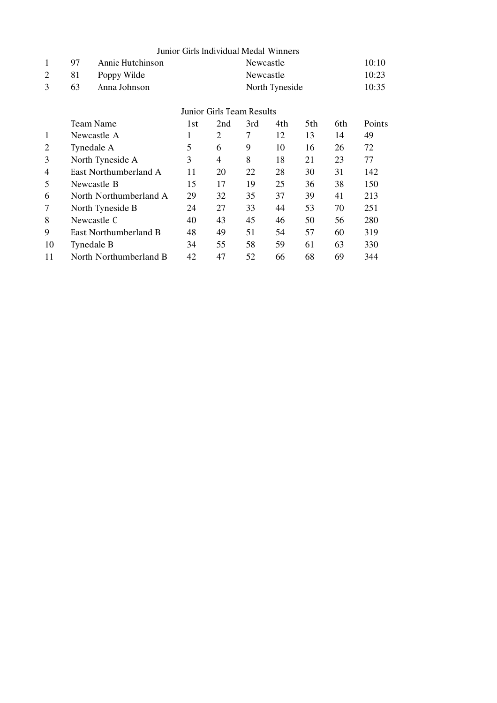|                |    |                        | Junior Girls Individual Medal Winners |                           |           |                |     |     |        |
|----------------|----|------------------------|---------------------------------------|---------------------------|-----------|----------------|-----|-----|--------|
| $\mathbf{1}$   | 97 | Annie Hutchinson       |                                       |                           | Newcastle |                |     |     | 10:10  |
| 2              | 81 | Poppy Wilde            |                                       |                           | Newcastle |                |     |     | 10:23  |
| 3              | 63 | Anna Johnson           |                                       |                           |           | North Tyneside |     |     | 10:35  |
|                |    |                        |                                       | Junior Girls Team Results |           |                |     |     |        |
|                |    | Team Name              | 1st                                   | 2nd                       | 3rd       | 4th            | 5th | 6th | Points |
| 1              |    | Newcastle A            | 1                                     | 2                         | 7         | 12             | 13  | 14  | 49     |
| 2              |    | Tynedale A             | 5                                     | 6                         | 9         | 10             | 16  | 26  | 72     |
| 3              |    | North Tyneside A       | 3                                     | 4                         | 8         | 18             | 21  | 23  | 77     |
| $\overline{4}$ |    | East Northumberland A  | 11                                    | 20                        | 22        | 28             | 30  | 31  | 142    |
| 5              |    | Newcastle B            | 15                                    | 17                        | 19        | 25             | 36  | 38  | 150    |
| 6              |    | North Northumberland A | 29                                    | 32                        | 35        | 37             | 39  | 41  | 213    |
| 7              |    | North Tyneside B       | 24                                    | 27                        | 33        | 44             | 53  | 70  | 251    |
| 8              |    | Newcastle C            | 40                                    | 43                        | 45        | 46             | 50  | 56  | 280    |
| 9              |    | East Northumberland B  | 48                                    | 49                        | 51        | 54             | 57  | 60  | 319    |
| 10             |    | Tynedale B             | 34                                    | 55                        | 58        | 59             | 61  | 63  | 330    |
| 11             |    | North Northumberland B | 42                                    | 47                        | 52        | 66             | 68  | 69  | 344    |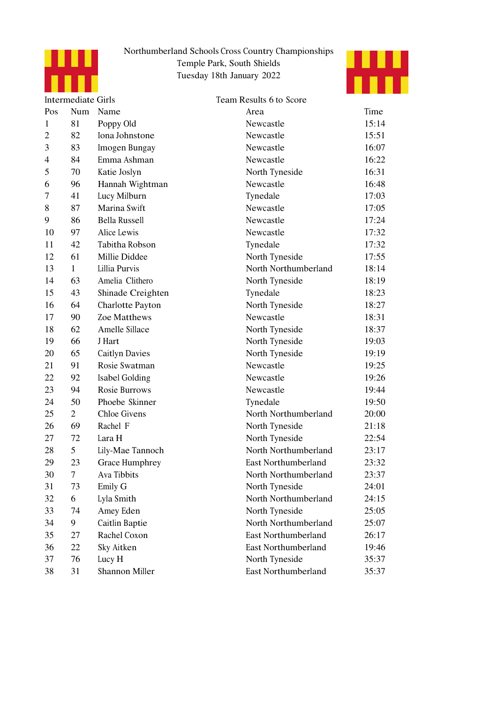



|                | <b>Intermediate Girls</b> |                       | Team Results 6 to Score    |       |
|----------------|---------------------------|-----------------------|----------------------------|-------|
| Pos            | Num                       | Name                  | Area                       | Time  |
| $\mathbf{1}$   | 81                        | Poppy Old             | Newcastle                  | 15:14 |
| $\overline{2}$ | 82                        | Iona Johnstone        | Newcastle                  | 15:51 |
| 3              | 83                        | Imogen Bungay         | Newcastle                  | 16:07 |
| $\overline{4}$ | 84                        | Emma Ashman           | Newcastle                  | 16:22 |
| 5              | 70                        | Katie Joslyn          | North Tyneside             | 16:31 |
| 6              | 96                        | Hannah Wightman       | Newcastle                  | 16:48 |
| 7              | 41                        | Lucy Milburn          | Tynedale                   | 17:03 |
| 8              | 87                        | Marina Swift          | Newcastle                  | 17:05 |
| 9              | 86                        | <b>Bella Russell</b>  | Newcastle                  | 17:24 |
| 10             | 97                        | Alice Lewis           | Newcastle                  | 17:32 |
| 11             | 42                        | Tabitha Robson        | Tynedale                   | 17:32 |
| 12             | 61                        | Millie Diddee         | North Tyneside             | 17:55 |
| 13             | $\mathbf{1}$              | Lillia Purvis         | North Northumberland       | 18:14 |
| 14             | 63                        | Amelia Clithero       | North Tyneside             | 18:19 |
| 15             | 43                        | Shinade Creighten     | Tynedale                   | 18:23 |
| 16             | 64                        | Charlotte Payton      | North Tyneside             | 18:27 |
| 17             | 90                        | Zoe Matthews          | Newcastle                  | 18:31 |
| 18             | 62                        | Amelle Sillace        | North Tyneside             | 18:37 |
| 19             | 66                        | J Hart                | North Tyneside             | 19:03 |
| 20             | 65                        | <b>Caitlyn Davies</b> | North Tyneside             | 19:19 |
| 21             | 91                        | Rosie Swatman         | Newcastle                  | 19:25 |
| 22             | 92                        | Isabel Golding        | Newcastle                  | 19:26 |
| 23             | 94                        | Rosie Burrows         | Newcastle                  | 19:44 |
| 24             | 50                        | Phoebe Skinner        | Tynedale                   | 19:50 |
| 25             | $\overline{2}$            | <b>Chloe</b> Givens   | North Northumberland       | 20:00 |
| 26             | 69                        | Rachel F              | North Tyneside             | 21:18 |
| 27             | 72                        | Lara H                | North Tyneside             | 22:54 |
| 28             | 5                         | Lily-Mae Tannoch      | North Northumberland       | 23:17 |
| 29             | 23                        | <b>Grace Humphrey</b> | <b>East Northumberland</b> | 23:32 |
| 30             | 7                         | Ava Tibbits           | North Northumberland       | 23:37 |
| 31             | 73                        | Emily G               | North Tyneside             | 24:01 |
| 32             | 6                         | Lyla Smith            | North Northumberland       | 24:15 |
| 33             | 74                        | Amey Eden             | North Tyneside             | 25:05 |
| 34             | 9                         | Caitlin Baptie        | North Northumberland       | 25:07 |
| 35             | 27                        | Rachel Coxon          | <b>East Northumberland</b> | 26:17 |
| 36             | 22                        | Sky Aitken            | <b>East Northumberland</b> | 19:46 |
| 37             | 76                        | Lucy H                | North Tyneside             | 35:37 |
| 38             | 31                        | Shannon Miller        | East Northumberland        | 35:37 |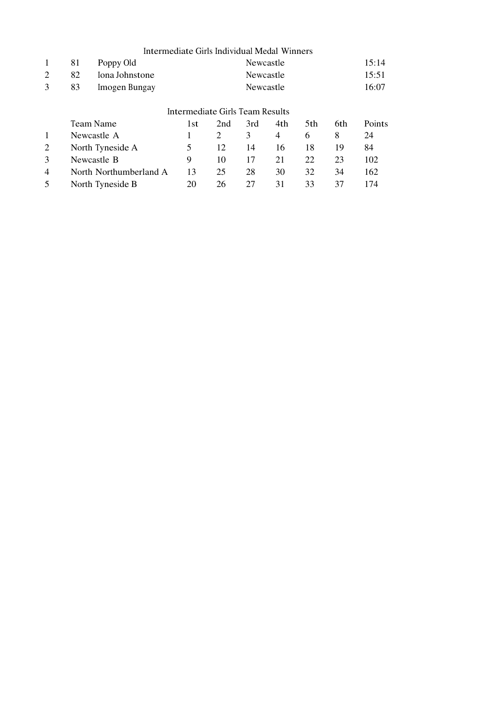|                | Intermediate Girls Individual Medal Winners |                        |                    |     |           |     |     |     |        |  |  |  |
|----------------|---------------------------------------------|------------------------|--------------------|-----|-----------|-----|-----|-----|--------|--|--|--|
| 1              | 81                                          | Poppy Old              |                    |     | Newcastle |     |     |     | 15:14  |  |  |  |
| 2              | 82                                          | Iona Johnstone         | Newcastle          |     |           |     |     |     | 15:51  |  |  |  |
| 3              | 83                                          | Imogen Bungay          | 16:07<br>Newcastle |     |           |     |     |     |        |  |  |  |
|                | Intermediate Girls Team Results             |                        |                    |     |           |     |     |     |        |  |  |  |
|                | Team Name                                   |                        | 1st                | 2nd | 3rd       | 4th | 5th | 6th | Points |  |  |  |
| $\mathbf{1}$   |                                             | Newcastle A            |                    | 2   | 3         | 4   | 6   | 8   | 24     |  |  |  |
| 2              |                                             | North Tyneside A       | 5                  | 12  | 14        | 16  | 18  | 19  | 84     |  |  |  |
| 3              | Newcastle B                                 |                        | 9                  | 10  | 17        | 21  | 22  | 23  | 102    |  |  |  |
| $\overline{4}$ |                                             | North Northumberland A | 13                 | 25  | 28        | 30  | 32  | 34  | 162    |  |  |  |
| 5              |                                             | North Tyneside B       | 20                 | 26  | 27        | 31  | 33  | 37  | 174    |  |  |  |